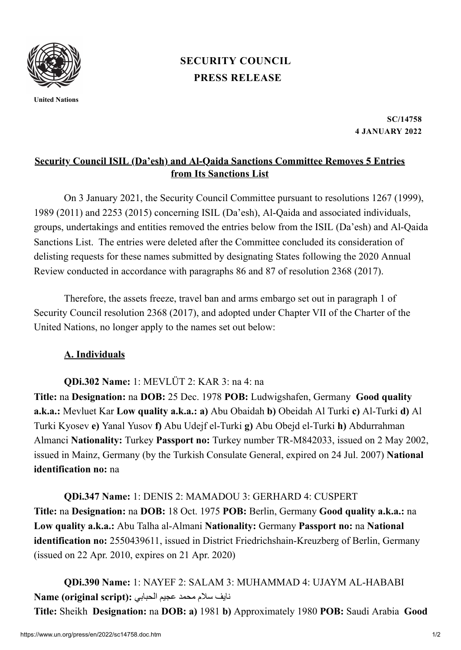

**United Nations**

## **PRESS [RELEASE](https://www.un.org/press/en/press-release) [SECURITY](https://www.un.org/press/en/security-council) COUNCIL**

**SC/14758 4 JANUARY 2022**

## **Security Council ISIL (Da'esh) and Al-Qaida Sanctions Committee Removes 5 Entries from Its Sanctions List**

On 3 January 2021, the Security Council Committee pursuant to resolutions 1267 (1999), 1989 (2011) and 2253 (2015) concerning ISIL (Da'esh), Al‑Qaida and associated individuals, groups, undertakings and entities removed the entries below from the ISIL (Da'esh) and Al‑Qaida Sanctions List. The entries were deleted after the Committee concluded its consideration of delisting requests for these names submitted by designating States following the 2020 Annual Review conducted in accordance with paragraphs 86 and 87 of resolution 2368 (2017).

Therefore, the assets freeze, travel ban and arms embargo set out in paragraph 1 of Security Council resolution 2368 (2017), and adopted under Chapter VII of the Charter of the United Nations, no longer apply to the names set out below:

## **A. Individuals**

**QDi.302 Name:** 1: MEVLÜT 2: KAR 3: na 4: na

**Title:** na **Designation:** na **DOB:** 25 Dec. 1978 **POB:** Ludwigshafen, Germany **Good quality a.k.a.:** Mevluet Kar **Low quality a.k.a.: a)** Abu Obaidah **b)** Obeidah Al Turki **c)** Al-Turki **d)** Al Turki Kyosev **e)** Yanal Yusov **f)** Abu Udejf el-Turki **g)** Abu Obejd el-Turki **h)** Abdurrahman Almanci **Nationality:** Turkey **Passport no:** Turkey number TR-M842033, issued on 2 May 2002, issued in Mainz, Germany (by the Turkish Consulate General, expired on 24 Jul. 2007) **National identification no:** na

**QDi.347 Name:** 1: DENIS 2: MAMADOU 3: GERHARD 4: CUSPERT **Title:** na **Designation:** na **DOB:** 18 Oct. 1975 **POB:** Berlin, Germany **Good quality a.k.a.:** na **Low quality a.k.a.:** Abu Talha al-Almani **Nationality:** Germany **Passport no:** na **National identification no:** 2550439611, issued in District Friedrichshain-Kreuzberg of Berlin, Germany (issued on 22 Apr. 2010, expires on 21 Apr. 2020)

**QDi.390 Name:** 1: NAYEF 2: SALAM 3: MUHAMMAD 4: UJAYM AL-HABABI نایف سالم محمد عجیم الحبابي **:(script original (Name Title:** Sheikh **Designation:** na **DOB: a)** 1981 **b)** Approximately 1980 **POB:** Saudi Arabia **Good**